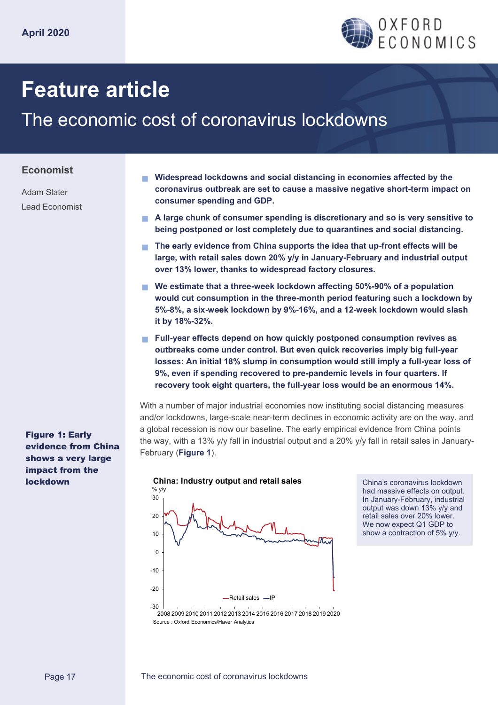

# **Feature article**

## The economic cost of coronavirus lockdowns

**consumer spending and GDP.** 

#### **Economist**

Adam Slater Lead Economist

> **losses: An initial 18% slump in consumption would still imply a full-year loss of 9%, even if spending recovered to pre-pandemic levels in four quarters. If recovery took eight quarters, the full-year loss would be an enormous 14%.**  With a number of major industrial economies now instituting social distancing measures and/or lockdowns, large-scale near-term declines in economic activity are on the way, and

**it by 18%-32%.** 

a global recession is now our baseline. The early empirical evidence from China points the way, with a 13% y/y fall in industrial output and a 20% y/y fall in retail sales in January-February (**Figure 1**).

 **Widespread lockdowns and social distancing in economies affected by the coronavirus outbreak are set to cause a massive negative short-term impact on** 

 **A large chunk of consumer spending is discretionary and so is very sensitive to being postponed or lost completely due to quarantines and social distancing.** 

 **The early evidence from China supports the idea that up-front effects will be large, with retail sales down 20% y/y in January-February and industrial output** 

**We estimate that a three-week lockdown affecting 50%-90% of a population** 

 **Full-year effects depend on how quickly postponed consumption revives as outbreaks come under control. But even quick recoveries imply big full-year** 

**would cut consumption in the three-month period featuring such a lockdown by 5%-8%, a six-week lockdown by 9%-16%, and a 12-week lockdown would slash** 

**over 13% lower, thanks to widespread factory closures.** 



China's coronavirus lockdown had massive effects on output. In January-February, industrial output was down 13% y/y and retail sales over 20% lower. We now expect Q1 GDP to show a contraction of 5% y/y.

Figure 1: Early evidence from China shows a very large impact from the lockdown

<sup>2008 2009 2010 2011 2012 2013 2014 2015 2016 2017 2018 2019 2020</sup> Source : Oxford Economics/Haver Analytics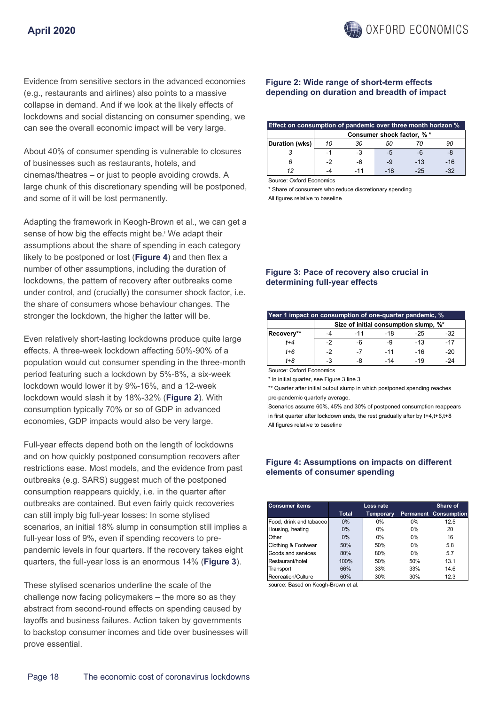Evidence from sensitive sectors in the advanced economies (e.g., restaurants and airlines) also points to a massive collapse in demand. And if we look at the likely effects of lockdowns and social distancing on consumer spending, we can see the overall economic impact will be very large.

About 40% of consumer spending is vulnerable to closures of businesses such as restaurants, hotels, and cinemas/theatres – or just to people avoiding crowds. A large chunk of this discretionary spending will be postponed, and some of it will be lost permanently.

Adapting the framework in Keogh-Brown et al., we can get a sense of how big the effects might be.<sup>i</sup> We adapt their assumptions about the share of spending in each category likely to be postponed or lost (**Figure 4**) and then flex a number of other assumptions, including the duration of lockdowns, the pattern of recovery after outbreaks come under control, and (crucially) the consumer shock factor, i.e. the share of consumers whose behaviour changes. The stronger the lockdown, the higher the latter will be.

Even relatively short-lasting lockdowns produce quite large effects. A three-week lockdown affecting 50%-90% of a population would cut consumer spending in the three-month period featuring such a lockdown by 5%-8%, a six-week lockdown would lower it by 9%-16%, and a 12-week lockdown would slash it by 18%-32% (**Figure 2**). With consumption typically 70% or so of GDP in advanced economies, GDP impacts would also be very large.

Full-year effects depend both on the length of lockdowns and on how quickly postponed consumption recovers after restrictions ease. Most models, and the evidence from past outbreaks (e.g. SARS) suggest much of the postponed consumption reappears quickly, i.e. in the quarter after outbreaks are contained. But even fairly quick recoveries can still imply big full-year losses: In some stylised scenarios, an initial 18% slump in consumption still implies a full-year loss of 9%, even if spending recovers to prepandemic levels in four quarters. If the recovery takes eight quarters, the full-year loss is an enormous 14% (**Figure 3**).

These stylised scenarios underline the scale of the challenge now facing policymakers – the more so as they abstract from second-round effects on spending caused by layoffs and business failures. Action taken by governments to backstop consumer incomes and tide over businesses will prove essential.

#### **Figure 2: Wide range of short-term effects depending on duration and breadth of impact**

| Effect on consumption of pandemic over three month horizon % |                            |     |      |       |     |  |  |
|--------------------------------------------------------------|----------------------------|-----|------|-------|-----|--|--|
|                                                              | Consumer shock factor, % * |     |      |       |     |  |  |
| Duration (wks)                                               | 10                         | 30  | 50   |       | 90  |  |  |
|                                                              | -1                         | -3  | $-5$ | -6    |     |  |  |
|                                                              | $-2$                       | -6  | $-9$ | $-13$ | -16 |  |  |
|                                                              |                            | -11 | -18  | -25   | -32 |  |  |

Source: Oxford Economics

\* Share of consumers who reduce discretionary spending All figures relative to baseline

#### **Figure 3: Pace of recovery also crucial in determining full-year effects**

| Year 1 impact on consumption of one-quarter pandemic, % |                                       |       |       |       |       |  |  |  |
|---------------------------------------------------------|---------------------------------------|-------|-------|-------|-------|--|--|--|
|                                                         | Size of initial consumption slump, %* |       |       |       |       |  |  |  |
| Recovery**                                              |                                       | $-11$ | -18   | -25   | -32   |  |  |  |
| $t + 4$                                                 | $-2$                                  | -6    | -9    | $-13$ | $-17$ |  |  |  |
| $t + 6$                                                 | $-2$                                  | $-7$  | $-11$ | $-16$ | $-20$ |  |  |  |
| t+8                                                     | -3                                    | -8    | $-14$ | -19   | 24    |  |  |  |

Source: Oxford Economics

\* In initial quarter, see Figure 3 line 3

\*\* Quarter after initial output slump in which postponed spending reaches pre-pandemic quarterly average.

Scenarios assume 60%, 45% and 30% of postponed consumption reappears in first quarter after lockdown ends, the rest gradually after by t+4,t+6,t+8 All figures relative to baseline

#### **Figure 4: Assumptions on impacts on different elements of consumer spending**

| <b>Consumer items</b>   |       | Share of         |       |                              |
|-------------------------|-------|------------------|-------|------------------------------|
|                         | Total | <b>Temporary</b> |       | <b>Permanent Consumption</b> |
| Food, drink and tobacco | $0\%$ | $0\%$            | 0%    | 12.5                         |
| Housing, heating        | $0\%$ | $0\%$            | $0\%$ | 20                           |
| Other                   | $0\%$ | $0\%$            | $0\%$ | 16                           |
| Clothing & Footwear     | 50%   | 50%              | $0\%$ | 5.8                          |
| Goods and services      | 80%   | 80%              | $0\%$ | 5.7                          |
| Restaurant/hotel        | 100%  | 50%              | 50%   | 13.1                         |
| Transport               | 66%   | 33%              | 33%   | 14.6                         |
| Recreation/Culture      | 60%   | 30%              | 30%   | 12.3                         |

Source: Based on Keogh-Brown et al.